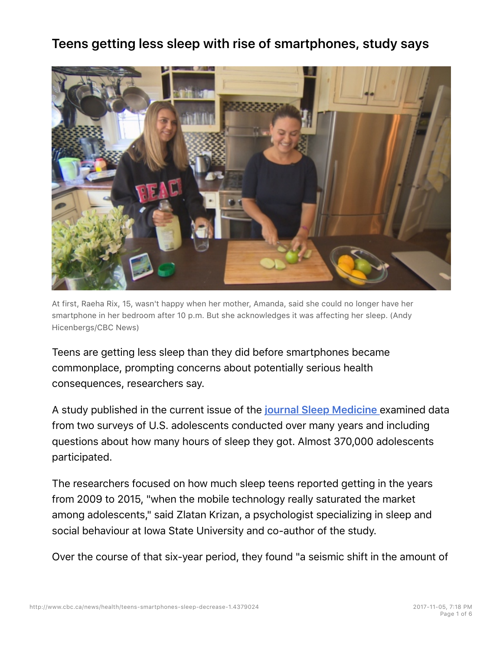# **Teens getting less sleep with rise of smartphones, study says**



At first, Raeha Rix, 15, wasn't happy when her mother, Amanda, said she could no longer have her smartphone in her bedroom after 10 p.m. But she acknowledges it was affecting her sleep. (Andy Hicenbergs/CBC News)

Teens are getting less sleep than they did before smartphones became commonplace, prompting concerns about potentially serious health consequences, researchers say.

A study published in the current issue of the **journal Sleep Medicine** examined data from two surveys of U.S. adolescents conducted over many years and including questions about how many hours of sleep they got. Almost 370,000 adolescents participated.

The researchers focused on how much sleep teens reported getting in the years from 2009 to 2015, "when the mobile technology really saturated the market among adolescents," said Zlatan Krizan, a psychologist specializing in sleep and social behaviour at Iowa State University and co-author of the study.

Over the course of that six-year period, they found "a seismic shift in the amount of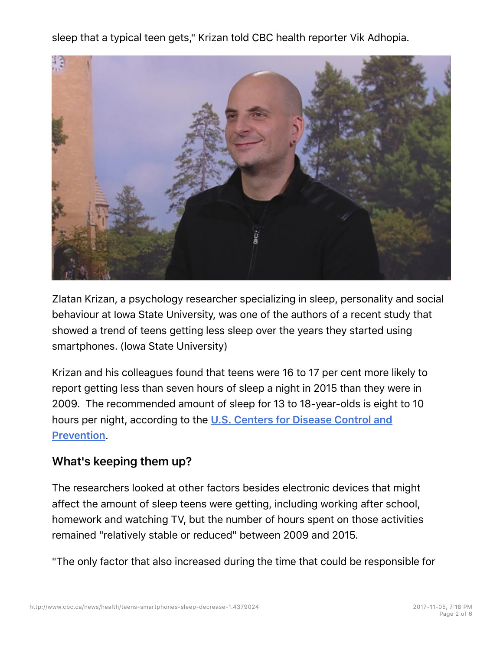sleep that a typical teen gets," Krizan told CBC health reporter Vik Adhopia.



Zlatan Krizan, a psychology researcher specializing in sleep, personality and social behaviour at Iowa State University, was one of the authors of a recent study that showed a trend of teens getting less sleep over the years they started using smartphones. (Iowa State University)

Krizan and his colleagues found that teens were 16 to 17 per cent more likely to report getting less than seven hours of sleep a night in 2015 than they were in 2009. The recommended amount of sleep for 13 to 18-year-olds is eight to 10 hours per night, according to the **U.S. Centers for Disease Control and Prevention**.

## **What's keeping them up?**

The researchers looked at other factors besides electronic devices that might affect the amount of sleep teens were getting, including working after school, homework and watching TV, but the number of hours spent on those activities remained "relatively stable or reduced" between 2009 and 2015.

"The only factor that also increased during the time that could be responsible for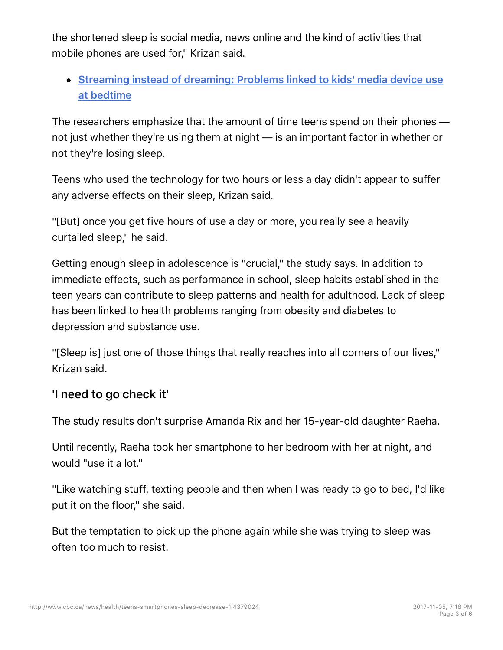the shortened sleep is social media, news online and the kind of activities that mobile phones are used for," Krizan said.

# **Streaming instead of dreaming: Problems linked to kids' media device use at bedtime**

The researchers emphasize that the amount of time teens spend on their phones not just whether they're using them at night — is an important factor in whether or not they're losing sleep.

Teens who used the technology for two hours or less a day didn't appear to suffer any adverse effects on their sleep, Krizan said.

"[But] once you get five hours of use a day or more, you really see a heavily curtailed sleep," he said.

Getting enough sleep in adolescence is "crucial," the study says. In addition to immediate effects, such as performance in school, sleep habits established in the teen years can contribute to sleep patterns and health for adulthood. Lack of sleep has been linked to health problems ranging from obesity and diabetes to depression and substance use.

"[Sleep is] just one of those things that really reaches into all corners of our lives," Krizan said.

#### **'I need to go check it'**

The study results don't surprise Amanda Rix and her 15-year-old daughter Raeha.

Until recently, Raeha took her smartphone to her bedroom with her at night, and would "use it a lot."

"Like watching stuff, texting people and then when I was ready to go to bed, I'd like put it on the floor," she said.

But the temptation to pick up the phone again while she was trying to sleep was often too much to resist.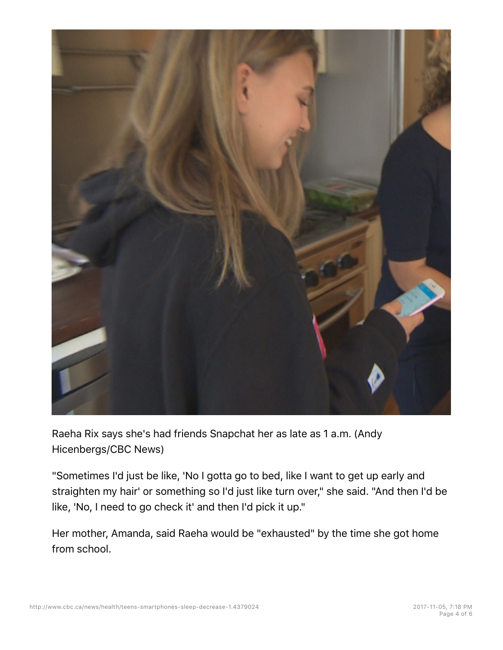

Raeha Rix says she's had friends Snapchat her as late as 1 a.m. (Andy Hicenbergs/CBC News)

"Sometimes I'd just be like, 'No I gotta go to bed, like I want to get up early and straighten my hair' or something so I'd just like turn over," she said. "And then I'd be like, 'No, I need to go check it' and then I'd pick it up."

Her mother, Amanda, said Raeha would be "exhausted" by the time she got home from school.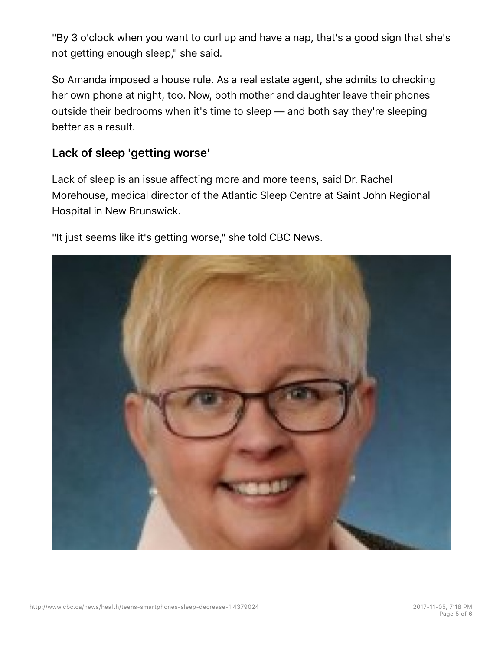"By 3 o'clock when you want to curl up and have a nap, that's a good sign that she's not getting enough sleep," she said.

So Amanda imposed a house rule. As a real estate agent, she admits to checking her own phone at night, too. Now, both mother and daughter leave their phones outside their bedrooms when it's time to sleep — and both say they're sleeping better as a result.

### **Lack of sleep 'getting worse'**

Lack of sleep is an issue affecting more and more teens, said Dr. Rachel Morehouse, medical director of the Atlantic Sleep Centre at Saint John Regional Hospital in New Brunswick.

"It just seems like it's getting worse," she told CBC News.